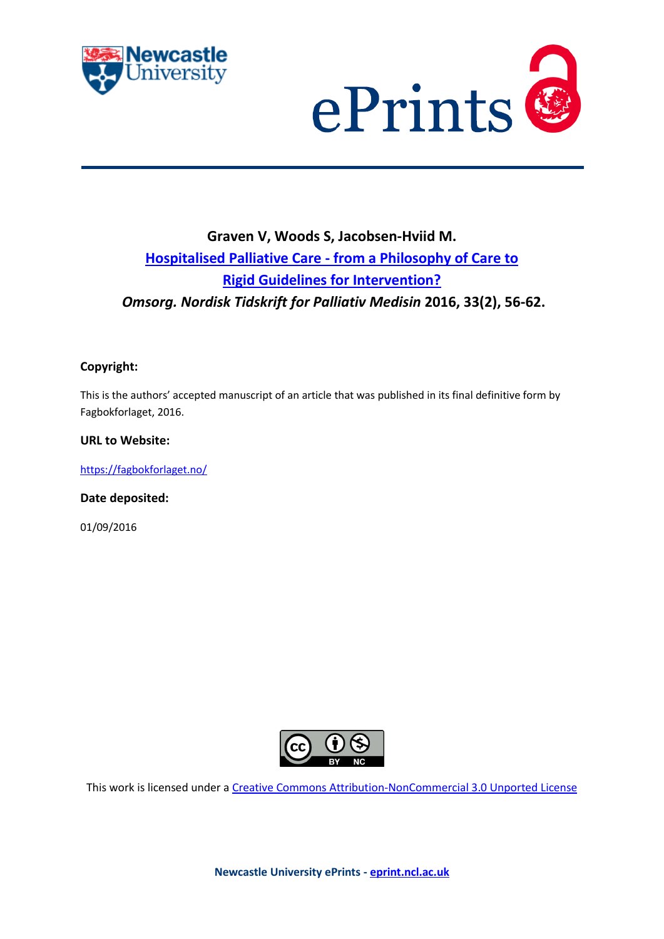



# **Graven V, Woods S, Jacobsen-Hviid M. Hospitalised Palliative Care - [from a Philosophy of Care to](javascript:ViewPublication(227723);)  [Rigid Guidelines for Intervention?](javascript:ViewPublication(227723);)** *Omsorg. Nordisk Tidskrift for Palliativ Medisin* **2016, 33(2), 56-62.**

### **Copyright:**

This is the authors' accepted manuscript of an article that was published in its final definitive form by Fagbokforlaget, 2016.

#### **URL to Website:**

<https://fagbokforlaget.no/>

**Date deposited:** 

01/09/2016



This work is licensed under a [Creative Commons Attribution-NonCommercial 3.0 Unported License](http://creativecommons.org/licenses/by-nc/3.0/deed.en_GB)

**Newcastle University ePrints - [eprint.ncl.ac.uk](http://eprint.ncl.ac.uk/)**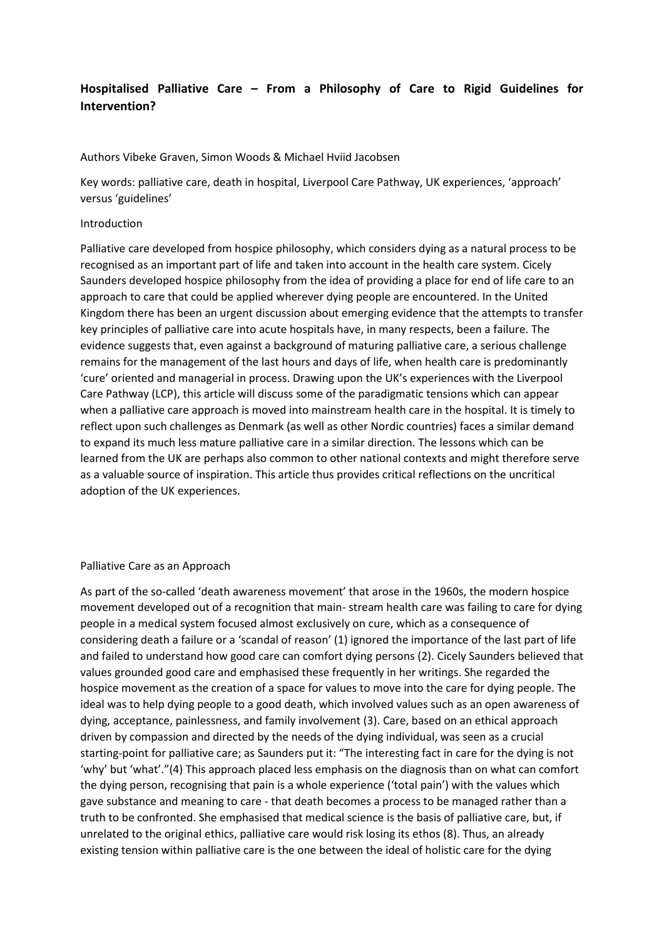## **Hospitalised Palliative Care – From a Philosophy of Care to Rigid Guidelines for Intervention?**

Authors Vibeke Graven, Simon Woods & Michael Hviid Jacobsen

Key words: palliative care, death in hospital, Liverpool Care Pathway, UK experiences, 'approach' versus 'guidelines'

#### Introduction

Palliative care developed from hospice philosophy, which considers dying as a natural process to be recognised as an important part of life and taken into account in the health care system. Cicely Saunders developed hospice philosophy from the idea of providing a place for end of life care to an approach to care that could be applied wherever dying people are encountered. In the United Kingdom there has been an urgent discussion about emerging evidence that the attempts to transfer key principles of palliative care into acute hospitals have, in many respects, been a failure. The evidence suggests that, even against a background of maturing palliative care, a serious challenge remains for the management of the last hours and days of life, when health care is predominantly 'cure' oriented and managerial in process. Drawing upon the UK's experiences with the Liverpool Care Pathway (LCP), this article will discuss some of the paradigmatic tensions which can appear when a palliative care approach is moved into mainstream health care in the hospital. It is timely to reflect upon such challenges as Denmark (as well as other Nordic countries) faces a similar demand to expand its much less mature palliative care in a similar direction. The lessons which can be learned from the UK are perhaps also common to other national contexts and might therefore serve as a valuable source of inspiration. This article thus provides critical reflections on the uncritical adoption of the UK experiences.

#### Palliative Care as an Approach

As part of the so-called 'death awareness movement' that arose in the 1960s, the modern hospice movement developed out of a recognition that main- stream health care was failing to care for dying people in a medical system focused almost exclusively on cure, which as a consequence of considering death a failure or a 'scandal of reason' (1) ignored the importance of the last part of life and failed to understand how good care can comfort dying persons (2). Cicely Saunders believed that values grounded good care and emphasised these frequently in her writings. She regarded the hospice movement as the creation of a space for values to move into the care for dying people. The ideal was to help dying people to a good death, which involved values such as an open awareness of dying, acceptance, painlessness, and family involvement (3). Care, based on an ethical approach driven by compassion and directed by the needs of the dying individual, was seen as a crucial starting-point for palliative care; as Saunders put it: "The interesting fact in care for the dying is not 'why' but 'what'."(4) This approach placed less emphasis on the diagnosis than on what can comfort the dying person, recognising that pain is a whole experience ('total pain') with the values which gave substance and meaning to care - that death becomes a process to be managed rather than a truth to be confronted. She emphasised that medical science is the basis of palliative care, but, if unrelated to the original ethics, palliative care would risk losing its ethos (8). Thus, an already existing tension within palliative care is the one between the ideal of holistic care for the dying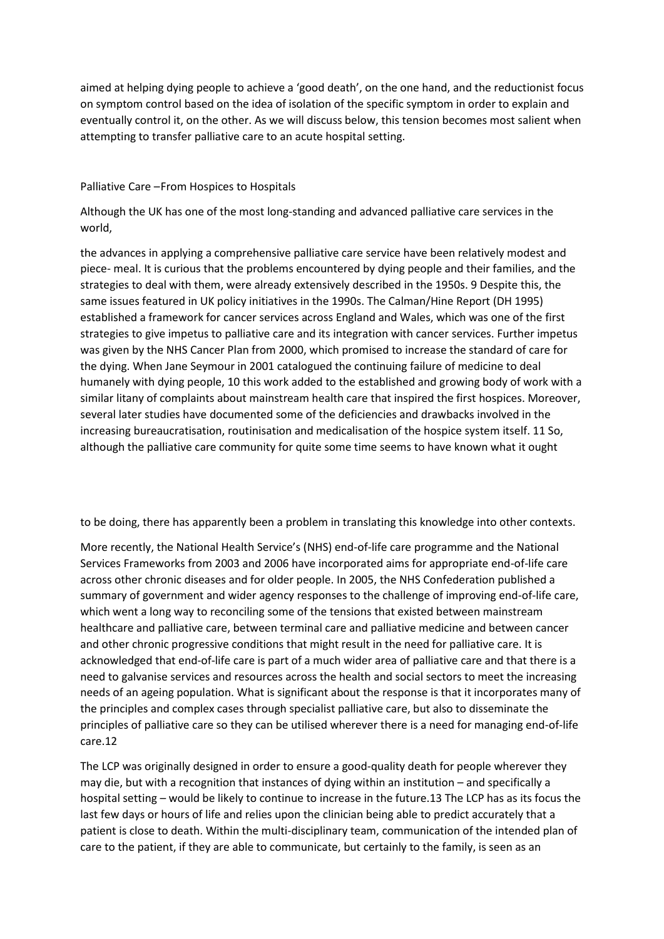aimed at helping dying people to achieve a 'good death', on the one hand, and the reductionist focus on symptom control based on the idea of isolation of the specific symptom in order to explain and eventually control it, on the other. As we will discuss below, this tension becomes most salient when attempting to transfer palliative care to an acute hospital setting.

#### Palliative Care –From Hospices to Hospitals

Although the UK has one of the most long-standing and advanced palliative care services in the world,

the advances in applying a comprehensive palliative care service have been relatively modest and piece- meal. It is curious that the problems encountered by dying people and their families, and the strategies to deal with them, were already extensively described in the 1950s. 9 Despite this, the same issues featured in UK policy initiatives in the 1990s. The Calman/Hine Report (DH 1995) established a framework for cancer services across England and Wales, which was one of the first strategies to give impetus to palliative care and its integration with cancer services. Further impetus was given by the NHS Cancer Plan from 2000, which promised to increase the standard of care for the dying. When Jane Seymour in 2001 catalogued the continuing failure of medicine to deal humanely with dying people, 10 this work added to the established and growing body of work with a similar litany of complaints about mainstream health care that inspired the first hospices. Moreover, several later studies have documented some of the deficiencies and drawbacks involved in the increasing bureaucratisation, routinisation and medicalisation of the hospice system itself. 11 So, although the palliative care community for quite some time seems to have known what it ought

to be doing, there has apparently been a problem in translating this knowledge into other contexts.

More recently, the National Health Service's (NHS) end-of-life care programme and the National Services Frameworks from 2003 and 2006 have incorporated aims for appropriate end-of-life care across other chronic diseases and for older people. In 2005, the NHS Confederation published a summary of government and wider agency responses to the challenge of improving end-of-life care, which went a long way to reconciling some of the tensions that existed between mainstream healthcare and palliative care, between terminal care and palliative medicine and between cancer and other chronic progressive conditions that might result in the need for palliative care. It is acknowledged that end-of-life care is part of a much wider area of palliative care and that there is a need to galvanise services and resources across the health and social sectors to meet the increasing needs of an ageing population. What is significant about the response is that it incorporates many of the principles and complex cases through specialist palliative care, but also to disseminate the principles of palliative care so they can be utilised wherever there is a need for managing end-of-life care.12

The LCP was originally designed in order to ensure a good-quality death for people wherever they may die, but with a recognition that instances of dying within an institution – and specifically a hospital setting – would be likely to continue to increase in the future.13 The LCP has as its focus the last few days or hours of life and relies upon the clinician being able to predict accurately that a patient is close to death. Within the multi-disciplinary team, communication of the intended plan of care to the patient, if they are able to communicate, but certainly to the family, is seen as an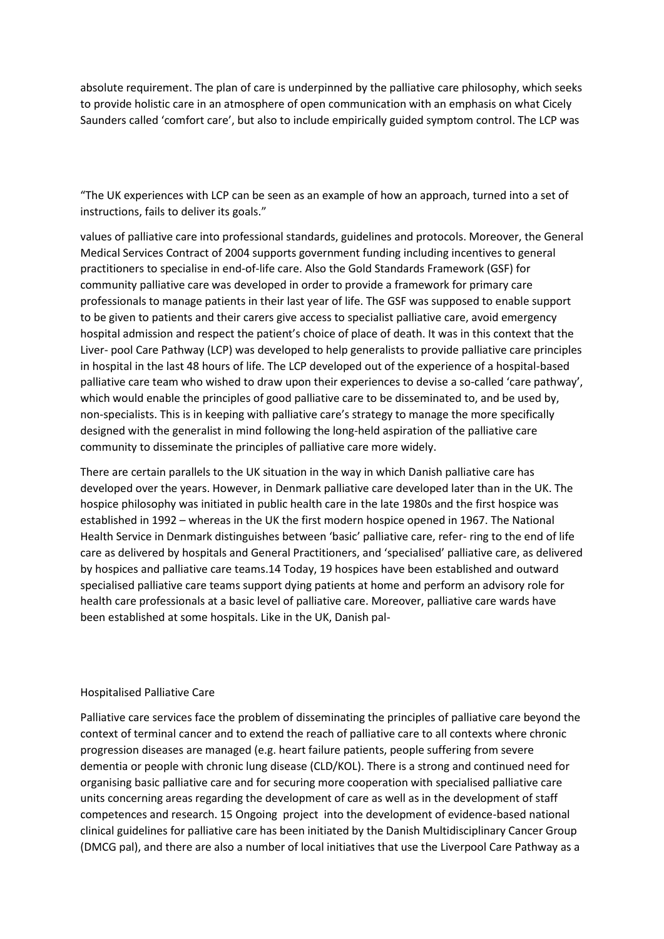absolute requirement. The plan of care is underpinned by the palliative care philosophy, which seeks to provide holistic care in an atmosphere of open communication with an emphasis on what Cicely Saunders called 'comfort care', but also to include empirically guided symptom control. The LCP was

"The UK experiences with LCP can be seen as an example of how an approach, turned into a set of instructions, fails to deliver its goals."

values of palliative care into professional standards, guidelines and protocols. Moreover, the General Medical Services Contract of 2004 supports government funding including incentives to general practitioners to specialise in end-of-life care. Also the Gold Standards Framework (GSF) for community palliative care was developed in order to provide a framework for primary care professionals to manage patients in their last year of life. The GSF was supposed to enable support to be given to patients and their carers give access to specialist palliative care, avoid emergency hospital admission and respect the patient's choice of place of death. It was in this context that the Liver- pool Care Pathway (LCP) was developed to help generalists to provide palliative care principles in hospital in the last 48 hours of life. The LCP developed out of the experience of a hospital-based palliative care team who wished to draw upon their experiences to devise a so-called 'care pathway', which would enable the principles of good palliative care to be disseminated to, and be used by, non-specialists. This is in keeping with palliative care's strategy to manage the more specifically designed with the generalist in mind following the long-held aspiration of the palliative care community to disseminate the principles of palliative care more widely.

There are certain parallels to the UK situation in the way in which Danish palliative care has developed over the years. However, in Denmark palliative care developed later than in the UK. The hospice philosophy was initiated in public health care in the late 1980s and the first hospice was established in 1992 – whereas in the UK the first modern hospice opened in 1967. The National Health Service in Denmark distinguishes between 'basic' palliative care, refer- ring to the end of life care as delivered by hospitals and General Practitioners, and 'specialised' palliative care, as delivered by hospices and palliative care teams.14 Today, 19 hospices have been established and outward specialised palliative care teams support dying patients at home and perform an advisory role for health care professionals at a basic level of palliative care. Moreover, palliative care wards have been established at some hospitals. Like in the UK, Danish pal-

#### Hospitalised Palliative Care

Palliative care services face the problem of disseminating the principles of palliative care beyond the context of terminal cancer and to extend the reach of palliative care to all contexts where chronic progression diseases are managed (e.g. heart failure patients, people suffering from severe dementia or people with chronic lung disease (CLD/KOL). There is a strong and continued need for organising basic palliative care and for securing more cooperation with specialised palliative care units concerning areas regarding the development of care as well as in the development of staff competences and research. 15 Ongoing project into the development of evidence-based national clinical guidelines for palliative care has been initiated by the Danish Multidisciplinary Cancer Group (DMCG pal), and there are also a number of local initiatives that use the Liverpool Care Pathway as a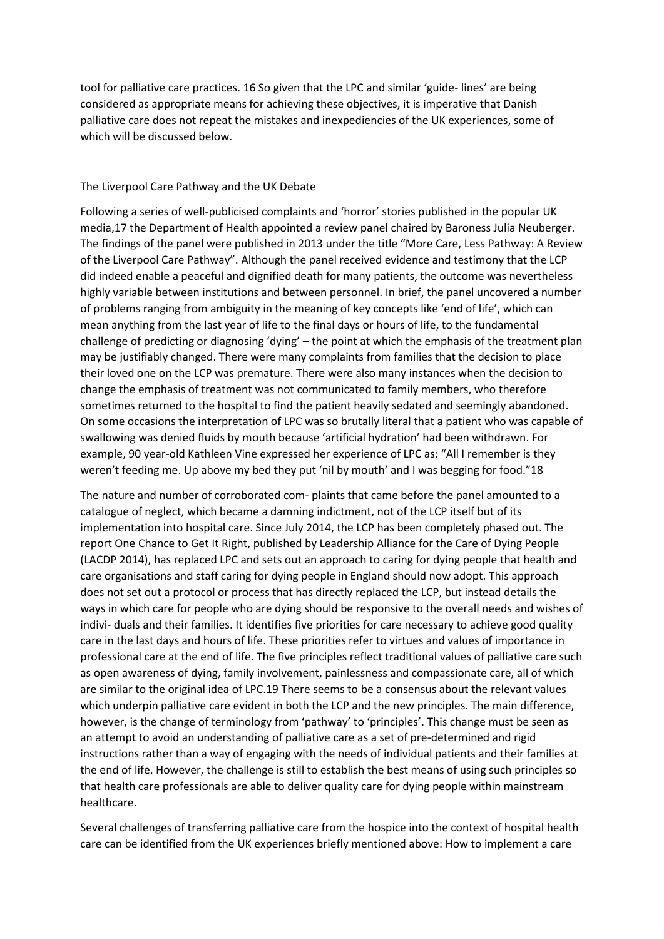tool for palliative care practices. 16 So given that the LPC and similar 'guide- lines' are being considered as appropriate means for achieving these objectives, it is imperative that Danish palliative care does not repeat the mistakes and inexpediencies of the UK experiences, some of which will be discussed below.

#### The Liverpool Care Pathway and the UK Debate

Following a series of well-publicised complaints and 'horror' stories published in the popular UK media,17 the Department of Health appointed a review panel chaired by Baroness Julia Neuberger. The findings of the panel were published in 2013 under the title "More Care, Less Pathway: A Review of the Liverpool Care Pathway". Although the panel received evidence and testimony that the LCP did indeed enable a peaceful and dignified death for many patients, the outcome was nevertheless highly variable between institutions and between personnel. In brief, the panel uncovered a number of problems ranging from ambiguity in the meaning of key concepts like 'end of life', which can mean anything from the last year of life to the final days or hours of life, to the fundamental challenge of predicting or diagnosing 'dying' – the point at which the emphasis of the treatment plan may be justifiably changed. There were many complaints from families that the decision to place their loved one on the LCP was premature. There were also many instances when the decision to change the emphasis of treatment was not communicated to family members, who therefore sometimes returned to the hospital to find the patient heavily sedated and seemingly abandoned. On some occasions the interpretation of LPC was so brutally literal that a patient who was capable of swallowing was denied fluids by mouth because 'artificial hydration' had been withdrawn. For example, 90 year-old Kathleen Vine expressed her experience of LPC as: "All I remember is they weren't feeding me. Up above my bed they put 'nil by mouth' and I was begging for food."18

The nature and number of corroborated com- plaints that came before the panel amounted to a catalogue of neglect, which became a damning indictment, not of the LCP itself but of its implementation into hospital care. Since July 2014, the LCP has been completely phased out. The report One Chance to Get It Right, published by Leadership Alliance for the Care of Dying People (LACDP 2014), has replaced LPC and sets out an approach to caring for dying people that health and care organisations and staff caring for dying people in England should now adopt. This approach does not set out a protocol or process that has directly replaced the LCP, but instead details the ways in which care for people who are dying should be responsive to the overall needs and wishes of indivi- duals and their families. It identifies five priorities for care necessary to achieve good quality care in the last days and hours of life. These priorities refer to virtues and values of importance in professional care at the end of life. The five principles reflect traditional values of palliative care such as open awareness of dying, family involvement, painlessness and compassionate care, all of which are similar to the original idea of LPC.19 There seems to be a consensus about the relevant values which underpin palliative care evident in both the LCP and the new principles. The main difference, however, is the change of terminology from 'pathway' to 'principles'. This change must be seen as an attempt to avoid an understanding of palliative care as a set of pre-determined and rigid instructions rather than a way of engaging with the needs of individual patients and their families at the end of life. However, the challenge is still to establish the best means of using such principles so that health care professionals are able to deliver quality care for dying people within mainstream healthcare.

Several challenges of transferring palliative care from the hospice into the context of hospital health care can be identified from the UK experiences briefly mentioned above: How to implement a care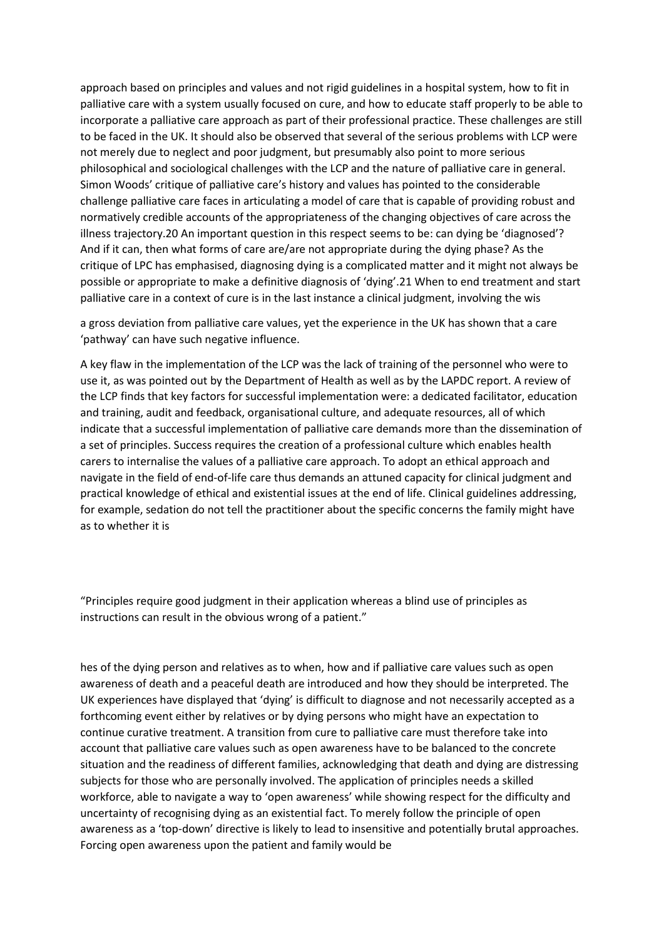approach based on principles and values and not rigid guidelines in a hospital system, how to fit in palliative care with a system usually focused on cure, and how to educate staff properly to be able to incorporate a palliative care approach as part of their professional practice. These challenges are still to be faced in the UK. It should also be observed that several of the serious problems with LCP were not merely due to neglect and poor judgment, but presumably also point to more serious philosophical and sociological challenges with the LCP and the nature of palliative care in general. Simon Woods' critique of palliative care's history and values has pointed to the considerable challenge palliative care faces in articulating a model of care that is capable of providing robust and normatively credible accounts of the appropriateness of the changing objectives of care across the illness trajectory.20 An important question in this respect seems to be: can dying be 'diagnosed'? And if it can, then what forms of care are/are not appropriate during the dying phase? As the critique of LPC has emphasised, diagnosing dying is a complicated matter and it might not always be possible or appropriate to make a definitive diagnosis of 'dying'.21 When to end treatment and start palliative care in a context of cure is in the last instance a clinical judgment, involving the wis

a gross deviation from palliative care values, yet the experience in the UK has shown that a care 'pathway' can have such negative influence.

A key flaw in the implementation of the LCP was the lack of training of the personnel who were to use it, as was pointed out by the Department of Health as well as by the LAPDC report. A review of the LCP finds that key factors for successful implementation were: a dedicated facilitator, education and training, audit and feedback, organisational culture, and adequate resources, all of which indicate that a successful implementation of palliative care demands more than the dissemination of a set of principles. Success requires the creation of a professional culture which enables health carers to internalise the values of a palliative care approach. To adopt an ethical approach and navigate in the field of end-of-life care thus demands an attuned capacity for clinical judgment and practical knowledge of ethical and existential issues at the end of life. Clinical guidelines addressing, for example, sedation do not tell the practitioner about the specific concerns the family might have as to whether it is

"Principles require good judgment in their application whereas a blind use of principles as instructions can result in the obvious wrong of a patient."

hes of the dying person and relatives as to when, how and if palliative care values such as open awareness of death and a peaceful death are introduced and how they should be interpreted. The UK experiences have displayed that 'dying' is difficult to diagnose and not necessarily accepted as a forthcoming event either by relatives or by dying persons who might have an expectation to continue curative treatment. A transition from cure to palliative care must therefore take into account that palliative care values such as open awareness have to be balanced to the concrete situation and the readiness of different families, acknowledging that death and dying are distressing subjects for those who are personally involved. The application of principles needs a skilled workforce, able to navigate a way to 'open awareness' while showing respect for the difficulty and uncertainty of recognising dying as an existential fact. To merely follow the principle of open awareness as a 'top-down' directive is likely to lead to insensitive and potentially brutal approaches. Forcing open awareness upon the patient and family would be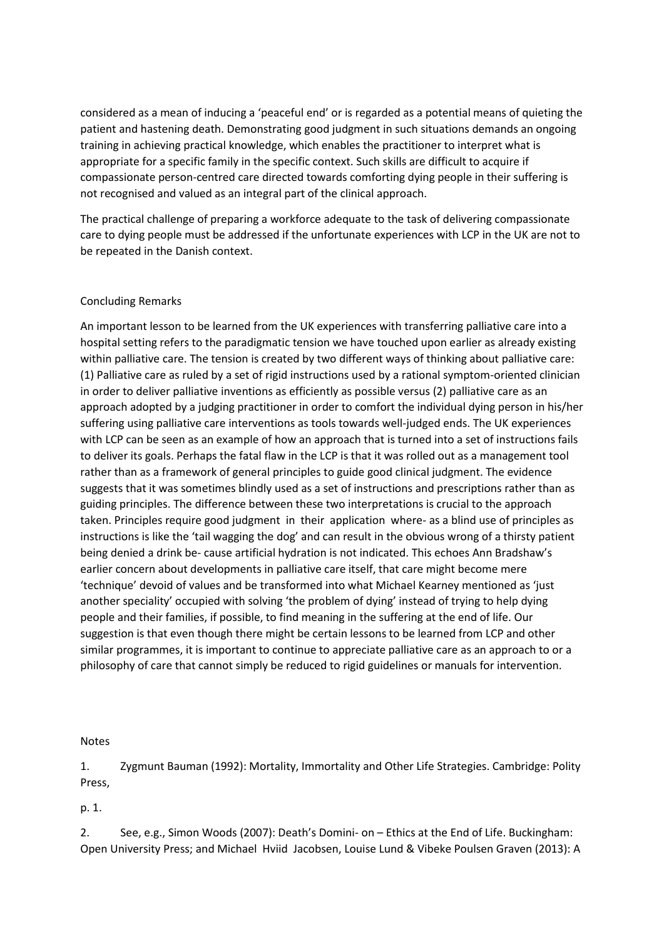considered as a mean of inducing a 'peaceful end' or is regarded as a potential means of quieting the patient and hastening death. Demonstrating good judgment in such situations demands an ongoing training in achieving practical knowledge, which enables the practitioner to interpret what is appropriate for a specific family in the specific context. Such skills are difficult to acquire if compassionate person-centred care directed towards comforting dying people in their suffering is not recognised and valued as an integral part of the clinical approach.

The practical challenge of preparing a workforce adequate to the task of delivering compassionate care to dying people must be addressed if the unfortunate experiences with LCP in the UK are not to be repeated in the Danish context.

#### Concluding Remarks

An important lesson to be learned from the UK experiences with transferring palliative care into a hospital setting refers to the paradigmatic tension we have touched upon earlier as already existing within palliative care. The tension is created by two different ways of thinking about palliative care: (1) Palliative care as ruled by a set of rigid instructions used by a rational symptom-oriented clinician in order to deliver palliative inventions as efficiently as possible versus (2) palliative care as an approach adopted by a judging practitioner in order to comfort the individual dying person in his/her suffering using palliative care interventions as tools towards well-judged ends. The UK experiences with LCP can be seen as an example of how an approach that is turned into a set of instructions fails to deliver its goals. Perhaps the fatal flaw in the LCP is that it was rolled out as a management tool rather than as a framework of general principles to guide good clinical judgment. The evidence suggests that it was sometimes blindly used as a set of instructions and prescriptions rather than as guiding principles. The difference between these two interpretations is crucial to the approach taken. Principles require good judgment in their application where- as a blind use of principles as instructions is like the 'tail wagging the dog' and can result in the obvious wrong of a thirsty patient being denied a drink be- cause artificial hydration is not indicated. This echoes Ann Bradshaw's earlier concern about developments in palliative care itself, that care might become mere 'technique' devoid of values and be transformed into what Michael Kearney mentioned as 'just another speciality' occupied with solving 'the problem of dying' instead of trying to help dying people and their families, if possible, to find meaning in the suffering at the end of life. Our suggestion is that even though there might be certain lessons to be learned from LCP and other similar programmes, it is important to continue to appreciate palliative care as an approach to or a philosophy of care that cannot simply be reduced to rigid guidelines or manuals for intervention.

#### Notes

1. Zygmunt Bauman (1992): Mortality, Immortality and Other Life Strategies. Cambridge: Polity Press,

p. 1.

2. See, e.g., Simon Woods (2007): Death's Domini- on – Ethics at the End of Life. Buckingham: Open University Press; and Michael Hviid Jacobsen, Louise Lund & Vibeke Poulsen Graven (2013): A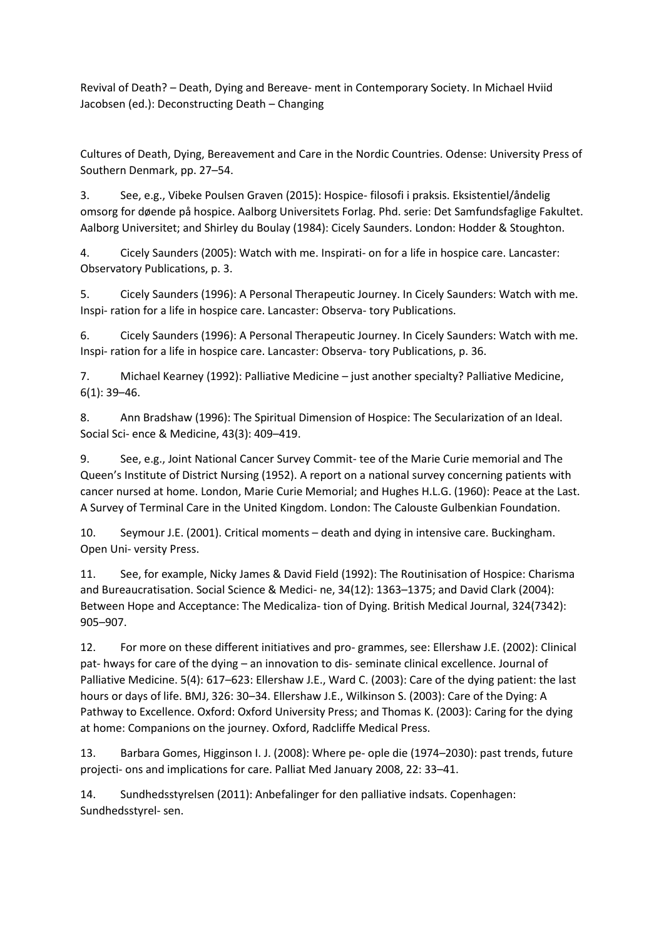Revival of Death? – Death, Dying and Bereave- ment in Contemporary Society. In Michael Hviid Jacobsen (ed.): Deconstructing Death – Changing

Cultures of Death, Dying, Bereavement and Care in the Nordic Countries. Odense: University Press of Southern Denmark, pp. 27–54.

3. See, e.g., Vibeke Poulsen Graven (2015): Hospice- filosofi i praksis. Eksistentiel/åndelig omsorg for døende på hospice. Aalborg Universitets Forlag. Phd. serie: Det Samfundsfaglige Fakultet. Aalborg Universitet; and Shirley du Boulay (1984): Cicely Saunders. London: Hodder & Stoughton.

4. Cicely Saunders (2005): Watch with me. Inspirati- on for a life in hospice care. Lancaster: Observatory Publications, p. 3.

5. Cicely Saunders (1996): A Personal Therapeutic Journey. In Cicely Saunders: Watch with me. Inspi- ration for a life in hospice care. Lancaster: Observa- tory Publications.

6. Cicely Saunders (1996): A Personal Therapeutic Journey. In Cicely Saunders: Watch with me. Inspi- ration for a life in hospice care. Lancaster: Observa- tory Publications, p. 36.

7. Michael Kearney (1992): Palliative Medicine – just another specialty? Palliative Medicine, 6(1): 39–46.

8. Ann Bradshaw (1996): The Spiritual Dimension of Hospice: The Secularization of an Ideal. Social Sci- ence & Medicine, 43(3): 409–419.

9. See, e.g., Joint National Cancer Survey Commit- tee of the Marie Curie memorial and The Queen's Institute of District Nursing (1952). A report on a national survey concerning patients with cancer nursed at home. London, Marie Curie Memorial; and Hughes H.L.G. (1960): Peace at the Last. A Survey of Terminal Care in the United Kingdom. London: The Calouste Gulbenkian Foundation.

10. Seymour J.E. (2001). Critical moments – death and dying in intensive care. Buckingham. Open Uni- versity Press.

11. See, for example, Nicky James & David Field (1992): The Routinisation of Hospice: Charisma and Bureaucratisation. Social Science & Medici- ne, 34(12): 1363–1375; and David Clark (2004): Between Hope and Acceptance: The Medicaliza- tion of Dying. British Medical Journal, 324(7342): 905–907.

12. For more on these different initiatives and pro- grammes, see: Ellershaw J.E. (2002): Clinical pat- hways for care of the dying – an innovation to dis- seminate clinical excellence. Journal of Palliative Medicine. 5(4): 617–623: Ellershaw J.E., Ward C. (2003): Care of the dying patient: the last hours or days of life. BMJ, 326: 30–34. Ellershaw J.E., Wilkinson S. (2003): Care of the Dying: A Pathway to Excellence. Oxford: Oxford University Press; and Thomas K. (2003): Caring for the dying at home: Companions on the journey. Oxford, Radcliffe Medical Press.

13. Barbara Gomes, Higginson I. J. (2008): Where pe- ople die (1974–2030): past trends, future projecti- ons and implications for care. Palliat Med January 2008, 22: 33–41.

14. Sundhedsstyrelsen (2011): Anbefalinger for den palliative indsats. Copenhagen: Sundhedsstyrel- sen.